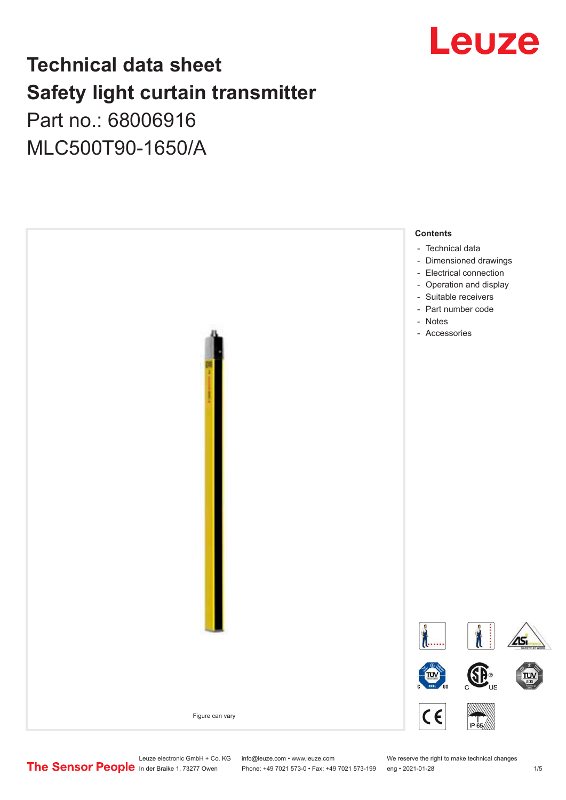

# **Technical data sheet Safety light curtain transmitter**

Part no.: 68006916 MLC500T90-1650/A



Leuze electronic GmbH + Co. KG info@leuze.com • www.leuze.com We reserve the right to make technical changes<br>
The Sensor People in der Braike 1, 73277 Owen Phone: +49 7021 573-0 • Fax: +49 7021 573-199 eng • 2021-01-28

Phone: +49 7021 573-0 • Fax: +49 7021 573-199 eng • 2021-01-28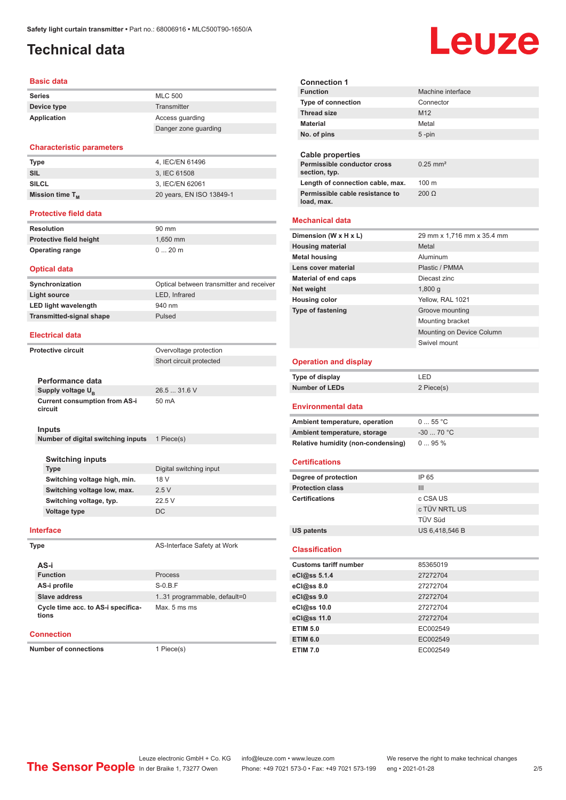# <span id="page-1-0"></span>**Technical data**

#### **Basic data**

| <b>Series</b> | <b>MLC 500</b>       |
|---------------|----------------------|
| Device type   | Transmitter          |
| Application   | Access quarding      |
|               | Danger zone guarding |

#### **Characteristic parameters**

| 4, IEC/EN 61496          |
|--------------------------|
| 3. IEC 61508             |
| 3. IEC/EN 62061          |
| 20 years, EN ISO 13849-1 |
|                          |

#### **Protective field data**

| Resolution                     | 90 mm    |
|--------------------------------|----------|
| <b>Protective field height</b> | 1.650 mm |
| <b>Operating range</b>         | $020$ m  |

#### **Optical data**

| Synchronization                 | Optical between transmitter and receiver |
|---------------------------------|------------------------------------------|
| Light source                    | LED. Infrared                            |
| <b>LED light wavelength</b>     | 940 nm                                   |
| <b>Transmitted-signal shape</b> | Pulsed                                   |

#### **Electrical data**

**Protective circuit Constanting Protection** 

Short circuit protected

| Performance data                                |              |
|-------------------------------------------------|--------------|
| Supply voltage U <sub>p</sub>                   | 26.5  31.6 V |
| <b>Current consumption from AS-i</b><br>circuit | 50 mA        |

#### **Inputs**

**Number of digital switching inputs** 1 Piece(s)

#### **Switching inputs**

| <b>Type</b>                  | Digital switching input |
|------------------------------|-------------------------|
| Switching voltage high, min. | 18 V                    |
| Switching voltage low, max.  | 25V                     |
| Switching voltage, typ.      | 22.5V                   |
| <b>Voltage type</b>          | DC.                     |

#### **Interface**

| I<br>۰.<br>. . |
|----------------|
|----------------|

| AS-i                                        |                              |
|---------------------------------------------|------------------------------|
| <b>Function</b>                             | Process                      |
| AS-i profile                                | $S-0.B.F$                    |
| Slave address                               | 1.31 programmable, default=0 |
| Cycle time acc. to AS-i specifica-<br>tions | Max. 5 ms ms                 |

#### **Connection**

**Number of connections** 1 Piece(s)

**AS-Interface Safety at Work** 

**Connection 1 Machine interface Type of connection Thread size** M12 **Material** Metal **No. of pins** 5 -pin **Cable properties Permissible conductor cross section, typ.** 0.25 mm² Length of connection cable, max. 100 m **Permissible cable resistance to load, max.** 200 Ω **Mechanical data Dimension (W x H x L)** 29 mm x 1,716 mm x 35.4 mm **Housing material Metal Metal Metal housing Aluminum Lens cover material Community Plastic / PMMA Material of end caps** Diecast zinc **Net weight** 1,800 g **Housing color** Yellow, RAL 1021 **Type of fastening** Groove mounting Mounting bracket Mounting on Device Column Swivel mount **Operation and display Type of display** LED **Number of LEDs** 2 Piece(s) **Environmental data** Ambient temperature, operation 0 ... 55 °C **Ambient temperature, storage** -30 ... 70 °C **Relative humidity (non-condensing)** 0 ... 95 % **Certifications Degree of protection** IP 65 **Protection class** III **Certifications** c CSA US c TÜV NRTL US TÜV Süd **US patents** US 6,418,546 B **Classification Customs tariff number** 85365019 **eCl@ss 5.1.4** 27272704 **eCl@ss 8.0** 27272704 **eCl@ss 9.0** 27272704 **eCl@ss 10.0** 27272704 **eCl@ss 11.0** 27272704 **ETIM 5.0** EC002549 **ETIM 6.0** EC002549

# Leuze

**ETIM 7.0** EC002549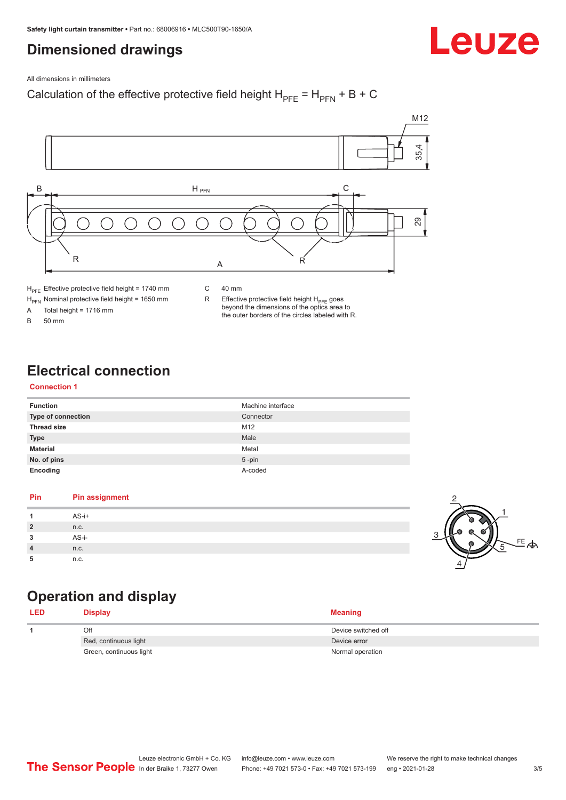# <span id="page-2-0"></span>**Dimensioned drawings**

Leuze

All dimensions in millimeters

### Calculation of the effective protective field height  $H_{PFE} = H_{PFN} + B + C$



 $H<sub>PE</sub>$  Effective protective field height = 1740 mm

 $H_{\text{PFN}}$  Nominal protective field height = 1650 mm<br>A Total height = 1716 mm

Total height =  $1716$  mm

B 50 mm

C 40 mm

R Effective protective field height  $H_{PFE}$  goes beyond the dimensions of the optics area to the outer borders of the circles labeled with R.

# **Electrical connection**

#### **Connection 1**

| <b>Function</b>    | Machine interface |
|--------------------|-------------------|
| Type of connection | Connector         |
| <b>Thread size</b> | M12               |
| <b>Type</b>        | Male              |
| <b>Material</b>    | Metal             |
| No. of pins        | $5$ -pin          |
| Encoding           | A-coded           |

#### **Pin Pin assignment 1** AS-i+ **2** n.c. **3** AS-i-**4** n.c. **5** n.c.



# **Operation and display**

| <b>LED</b> | <b>Display</b>          | <b>Meaning</b>      |
|------------|-------------------------|---------------------|
|            | Off                     | Device switched off |
|            | Red, continuous light   | Device error        |
|            | Green, continuous light | Normal operation    |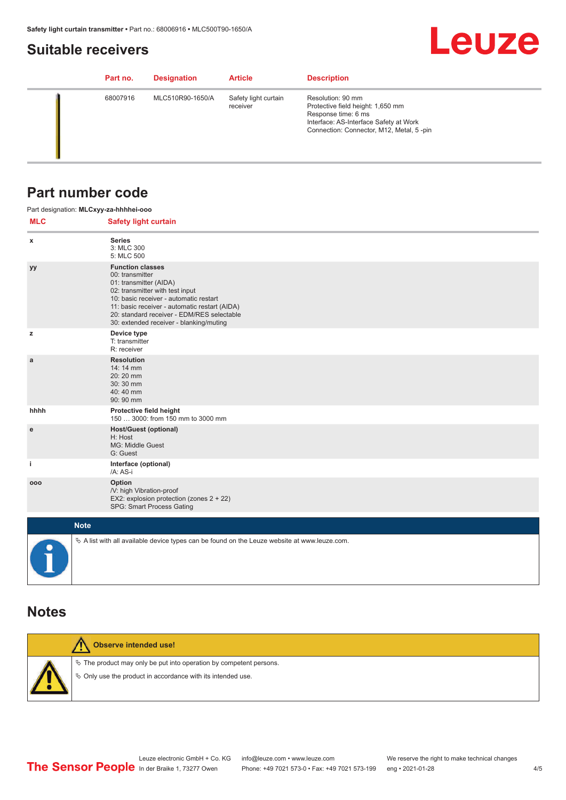# <span id="page-3-0"></span>**Suitable receivers**

# **Leuze**

| Part no. | <b>Designation</b> | <b>Article</b>                   | <b>Description</b>                                                                                                                                                  |
|----------|--------------------|----------------------------------|---------------------------------------------------------------------------------------------------------------------------------------------------------------------|
| 68007916 | MLC510R90-1650/A   | Safety light curtain<br>receiver | Resolution: 90 mm<br>Protective field height: 1,650 mm<br>Response time: 6 ms<br>Interface: AS-Interface Safety at Work<br>Connection: Connector, M12, Metal, 5-pin |

## **Part number code**

|            | Part designation: MLCxyy-za-hhhhei-ooo                                                                                                                                                                                                                                                      |
|------------|---------------------------------------------------------------------------------------------------------------------------------------------------------------------------------------------------------------------------------------------------------------------------------------------|
| <b>MLC</b> | <b>Safety light curtain</b>                                                                                                                                                                                                                                                                 |
| x          | <b>Series</b><br>3: MLC 300<br>5: MLC 500                                                                                                                                                                                                                                                   |
| yy         | <b>Function classes</b><br>00: transmitter<br>01: transmitter (AIDA)<br>02: transmitter with test input<br>10: basic receiver - automatic restart<br>11: basic receiver - automatic restart (AIDA)<br>20: standard receiver - EDM/RES selectable<br>30: extended receiver - blanking/muting |
| z          | Device type<br>T: transmitter<br>R: receiver                                                                                                                                                                                                                                                |
| a          | <b>Resolution</b><br>14: 14 mm<br>20:20 mm<br>30:30 mm<br>40:40 mm<br>90: 90 mm                                                                                                                                                                                                             |
| hhhh       | Protective field height<br>150  3000: from 150 mm to 3000 mm                                                                                                                                                                                                                                |
| ${\bf e}$  | <b>Host/Guest (optional)</b><br>H: Host<br>MG: Middle Guest<br>G: Guest                                                                                                                                                                                                                     |
| j.         | Interface (optional)<br>/A: AS-i                                                                                                                                                                                                                                                            |
| 000        | Option<br>/V: high Vibration-proof<br>EX2: explosion protection (zones 2 + 22)<br>SPG: Smart Process Gating                                                                                                                                                                                 |
|            | <b>Note</b>                                                                                                                                                                                                                                                                                 |
|            | $\&$ A list with all available device types can be found on the Leuze website at www.leuze.com.                                                                                                                                                                                             |

## **Notes**

| Observe intended use!                                                                                                                |
|--------------------------------------------------------------------------------------------------------------------------------------|
| $\&$ The product may only be put into operation by competent persons.<br>§ Only use the product in accordance with its intended use. |